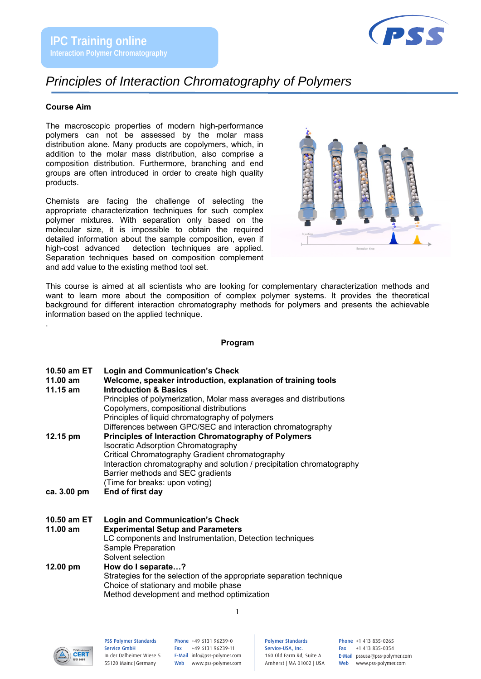

## *Principles of Interaction Chromatography of Polymers*

#### **Course Aim**

.

The macroscopic properties of modern high-performance polymers can not be assessed by the molar mass distribution alone. Many products are copolymers, which, in addition to the molar mass distribution, also comprise a composition distribution. Furthermore, branching and end groups are often introduced in order to create high quality products.

Chemists are facing the challenge of selecting the appropriate characterization techniques for such complex polymer mixtures. With separation only based on the molecular size, it is impossible to obtain the required detailed information about the sample composition, even if high-cost advanced detection techniques are applied. Separation techniques based on composition complement and add value to the existing method tool set.



This course is aimed at all scientists who are looking for complementary characterization methods and want to learn more about the composition of complex polymer systems. It provides the theoretical background for different interaction chromatography methods for polymers and presents the achievable information based on the applied technique.

#### **Program**

| 10.50 am ET |  | <b>Login and Communication's Check</b> |  |
|-------------|--|----------------------------------------|--|
|-------------|--|----------------------------------------|--|

| $11.00$ am         | Welcome, speaker introduction, explanation of training tools           |
|--------------------|------------------------------------------------------------------------|
| $11.15$ am         | <b>Introduction &amp; Basics</b>                                       |
|                    | Principles of polymerization, Molar mass averages and distributions    |
|                    | Copolymers, compositional distributions                                |
|                    | Principles of liquid chromatography of polymers                        |
|                    | Differences between GPC/SEC and interaction chromatography             |
| $12.15 \text{ pm}$ | <b>Principles of Interaction Chromatography of Polymers</b>            |
|                    | <b>Isocratic Adsorption Chromatography</b>                             |
|                    | Critical Chromatography Gradient chromatography                        |
|                    | Interaction chromatography and solution / precipitation chromatography |
|                    | Barrier methods and SEC gradients                                      |
|                    | (Time for breaks: upon voting)                                         |
| ca. 3.00 pm        | End of first day                                                       |

- **10.50 am ET Login and Communication's Check 11.00 am Experimental Setup and Parameters**  LC components and Instrumentation, Detection techniques Sample Preparation Solvent selection **12.00 pm How do I separate…?**  Strategies for the selection of the appropriate separation technique Choice of stationary and mobile phase
	- Method development and method optimization



PSS Polymer Standards Service GmbH In der Dalheimer Wiese 5 55120 Mainz |Germany

Phone +49 6131 96239-0 Fax +49 6131 96239-11 E-Mail info@pss-polymer.com Web www.pss-polymer.com

1

Polymer Standards Service-USA, Inc. 160 Old Farm Rd, Suite A Amherst | MA 01002 | USA Phone +1 413 835-0265 Fax +1 413 835-0354 E-Mail pssusa@pss-polymer.com Web www.pss-polymer.com